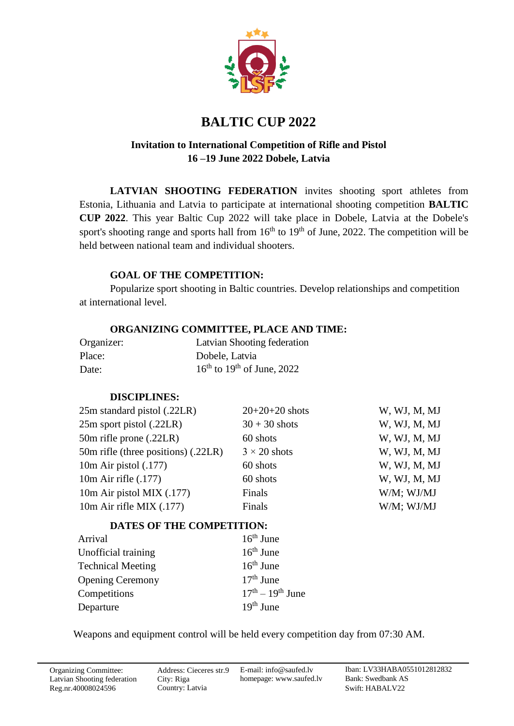

# **BALTIC CUP 2022**

## **Invitation to International Competition of Rifle and Pistol 16 –19 June 2022 Dobele, Latvia**

**LATVIAN SHOOTING FEDERATION** invites shooting sport athletes from Estonia, Lithuania and Latvia to participate at international shooting competition **BALTIC CUP 2022**. This year Baltic Cup 2022 will take place in Dobele, Latvia at the Dobele's sport's shooting range and sports hall from  $16<sup>th</sup>$  to  $19<sup>th</sup>$  of June, 2022. The competition will be held between national team and individual shooters.

#### **GOAL OF THE COMPETITION:**

Popularize sport shooting in Baltic countries. Develop relationships and competition at international level.

#### **ORGANIZING COMMITTEE, PLACE AND TIME:**

| Organizer: | Latvian Shooting federation                        |
|------------|----------------------------------------------------|
| Place:     | Dobele, Latvia                                     |
| Date:      | $16^{\text{th}}$ to $19^{\text{th}}$ of June, 2022 |

### **DISCIPLINES:**

| $20+20+20$ shots    | W, WJ, M, MJ |
|---------------------|--------------|
| $30 + 30$ shots     | W, WJ, M, MJ |
| 60 shots            | W, WJ, M, MJ |
| $3 \times 20$ shots | W, WJ, M, MJ |
| 60 shots            | W, WJ, M, MJ |
| 60 shots            | W, WJ, M, MJ |
| Finals              | W/M; WJ/MJ   |
| Finals              | W/M; WJ/MJ   |
|                     |              |

# **DATES OF THE COMPETITION:**

| Arrival                  | $16th$ June        |
|--------------------------|--------------------|
| Unofficial training      | $16th$ June        |
| <b>Technical Meeting</b> | $16th$ June        |
| <b>Opening Ceremony</b>  | $17th$ June        |
| Competitions             | $17th - 19th$ June |
| Departure                | $19th$ June        |

Weapons and equipment control will be held every competition day from 07:30 AM.

Address: Cieceres str.9 City: Riga Country: Latvia

E-mail: info@saufed.lv homepage: [www.saufed.lv](http://www.shooting.lt/)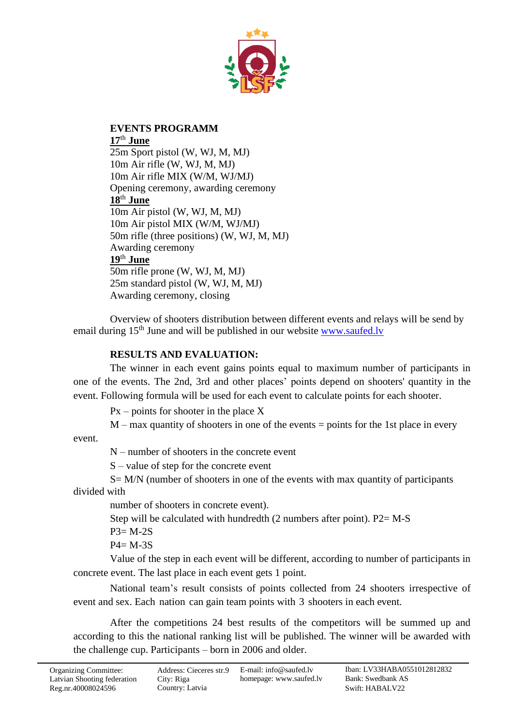

## **EVENTS PROGRAMM 17**th **June**

25m Sport pistol (W, WJ, M, MJ) 10m Air rifle (W, WJ, M, MJ) 10m Air rifle MIX (W/M, WJ/MJ) Opening ceremony, awarding ceremony **18**th **June** 10m Air pistol (W, WJ, M, MJ) 10m Air pistol MIX (W/M, WJ/MJ) 50m rifle (three positions) (W, WJ, M, MJ) Awarding ceremony **19**th **June** 50m rifle prone (W, WJ, M, MJ) 25m standard pistol (W, WJ, M, MJ) Awarding ceremony, closing

Overview of shooters distribution between different events and relays will be send by email during 15<sup>th</sup> June and will be published in our website [www.saufed.lv](http://www.saufed.lv/)

## **RESULTS AND EVALUATION:**

The winner in each event gains points equal to maximum number of participants in one of the events. The 2nd, 3rd and other places' points depend on shooters' quantity in the event. Following formula will be used for each event to calculate points for each shooter.

 $Px$  – points for shooter in the place X

 $M$  – max quantity of shooters in one of the events = points for the 1st place in every

event.

N – number of shooters in the concrete event

S – value of step for the concrete event

S= M/N (number of shooters in one of the events with max quantity of participants divided with

number of shooters in concrete event).

Step will be calculated with hundredth (2 numbers after point). P2= M-S

 $P3 = M-2S$ 

 $P4 = M-3S$ 

Value of the step in each event will be different, according to number of participants in concrete event. The last place in each event gets 1 point.

National team's result consists of points collected from 24 shooters irrespective of event and sex. Each nation can gain team points with 3 shooters in each event.

After the competitions 24 best results of the competitors will be summed up and according to this the national ranking list will be published. The winner will be awarded with the challenge cup. Participants – born in 2006 and older.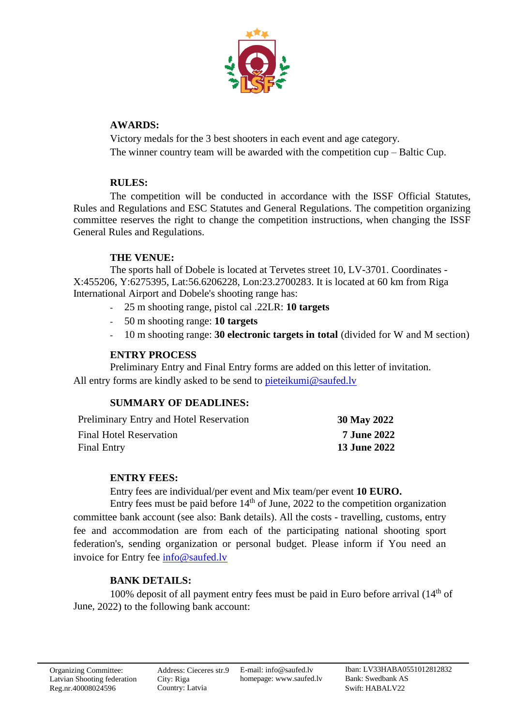

### **AWARDS:**

Victory medals for the 3 best shooters in each event and age category. The winner country team will be awarded with the competition cup – Baltic Cup.

### **RULES:**

The competition will be conducted in accordance with the ISSF Official Statutes, Rules and Regulations and ESC Statutes and General Regulations. The competition organizing committee reserves the right to change the competition instructions, when changing the ISSF General Rules and Regulations.

# **THE VENUE:**

The sports hall of Dobele is located at Tervetes street 10, LV-3701. Coordinates - X:455206, Y:6275395, Lat:56.6206228, Lon:23.2700283. It is located at 60 km from Riga International Airport and Dobele's shooting range has:

- 25 m shooting range, pistol cal .22LR: **10 targets**
- 50 m shooting range: **10 targets**
- 10 m shooting range: **30 electronic targets in total** (divided for W and M section)

## **ENTRY PROCESS**

Preliminary Entry and Final Entry forms are added on this letter of invitation. All entry forms are kindly asked to be send to pieteikumi@saufed.ly

### **SUMMARY OF DEADLINES:**

| Preliminary Entry and Hotel Reservation | 30 May 2022         |
|-----------------------------------------|---------------------|
| <b>Final Hotel Reservation</b>          | <b>7 June 2022</b>  |
| <b>Final Entry</b>                      | <b>13 June 2022</b> |

### **ENTRY FEES:**

Entry fees are individual/per event and Mix team/per event **10 EURO.**

Entry fees must be paid before  $14<sup>th</sup>$  of June, 2022 to the competition organization committee bank account (see also: Bank details). All the costs - travelling, customs, entry fee and accommodation are from each of the participating national shooting sport federation's, sending organization or personal budget. Please inform if You need an invoice for Entry fee [info@saufed.lv](mailto:info@saufed.lv)

# **BANK DETAILS:**

100% deposit of all payment entry fees must be paid in Euro before arrival  $(14<sup>th</sup>$  of June, 2022) to the following bank account: